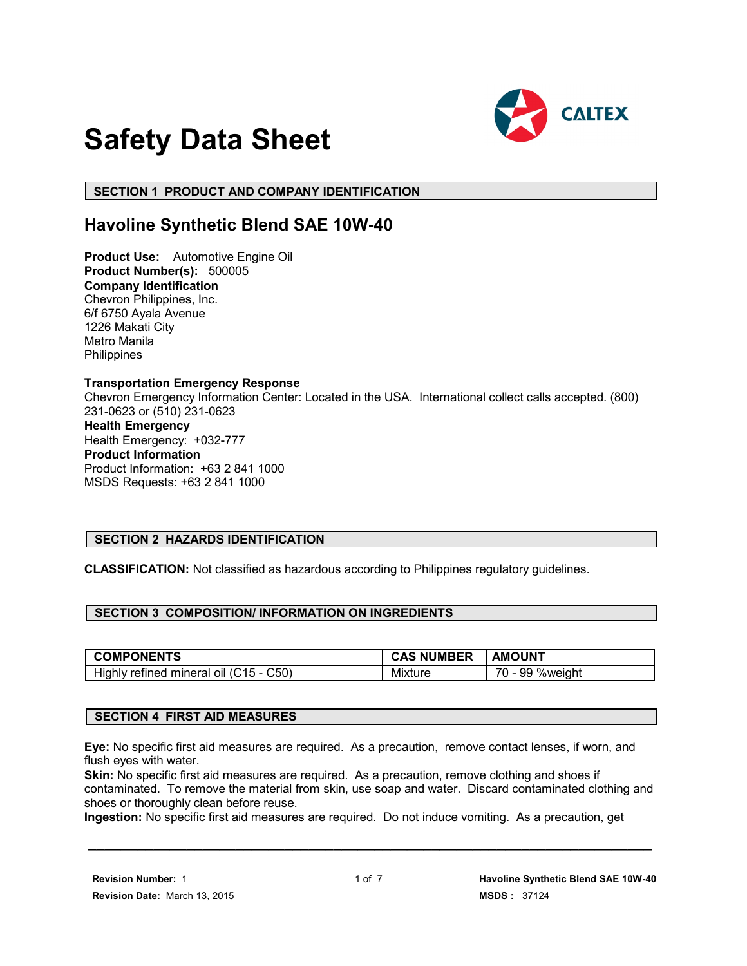

# **Safety Data Sheet**

 **SECTION 1 PRODUCT AND COMPANY IDENTIFICATION**

# **Havoline Synthetic Blend SAE 10W-40**

**Product Use:** Automotive Engine Oil **Product Number(s):** 500005 **Company Identification** Chevron Philippines, Inc. 6/f 6750 Ayala Avenue 1226 Makati City Metro Manila **Philippines** 

#### **Transportation Emergency Response**

Chevron Emergency Information Center: Located in the USA. International collect calls accepted. (800) 231-0623 or (510) 231-0623

# **Health Emergency**

Health Emergency: +032-777 **Product Information** Product Information: +63 2 841 1000 MSDS Requests: +63 2 841 1000

# **SECTION 2 HAZARDS IDENTIFICATION**

**CLASSIFICATION:** Not classified as hazardous according to Philippines regulatory guidelines.

# **SECTION 3 COMPOSITION/ INFORMATION ON INGREDIENTS**

| <b>COMPONENTS</b>                      | <b>CAS NUMBER</b> | <b>AMOUNT</b>   |
|----------------------------------------|-------------------|-----------------|
| Highly refined mineral oil (C15 - C50) | <b>Mixture</b>    | 70 - 99 %weight |

# **SECTION 4 FIRST AID MEASURES**

**Eye:** No specific first aid measures are required. As a precaution, remove contact lenses, if worn, and flush eyes with water.

**Skin:** No specific first aid measures are required. As a precaution, remove clothing and shoes if contaminated. To remove the material from skin, use soap and water. Discard contaminated clothing and shoes or thoroughly clean before reuse.

**Ingestion:** No specific first aid measures are required. Do not induce vomiting. As a precaution, get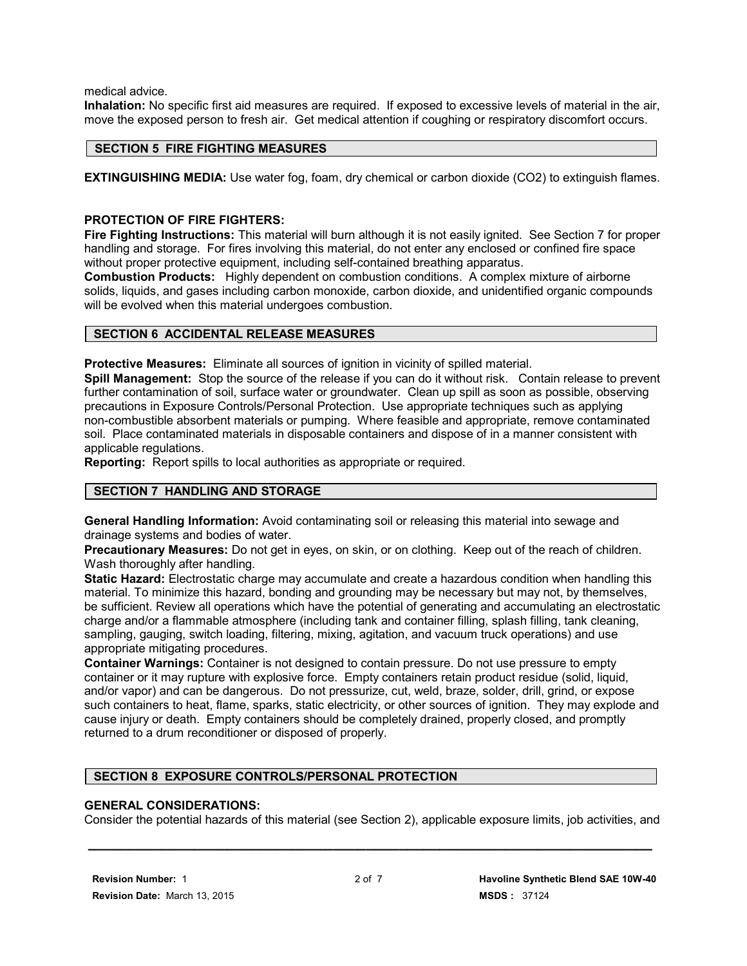medical advice.

**Inhalation:** No specific first aid measures are required. If exposed to excessive levels of material in the air, move the exposed person to fresh air. Get medical attention if coughing or respiratory discomfort occurs.

# **SECTION 5 FIRE FIGHTING MEASURES**

**EXTINGUISHING MEDIA:** Use water fog, foam, dry chemical or carbon dioxide (CO2) to extinguish flames.

#### **PROTECTION OF FIRE FIGHTERS:**

**Fire Fighting Instructions:** This material will burn although it is not easily ignited. See Section 7 for proper handling and storage. For fires involving this material, do not enter any enclosed or confined fire space without proper protective equipment, including self-contained breathing apparatus.

**Combustion Products:** Highly dependent on combustion conditions. A complex mixture of airborne solids, liquids, and gases including carbon monoxide, carbon dioxide, and unidentified organic compounds will be evolved when this material undergoes combustion.

#### **SECTION 6 ACCIDENTAL RELEASE MEASURES**

**Protective Measures:** Eliminate all sources of ignition in vicinity of spilled material.

**Spill Management:** Stop the source of the release if you can do it without risk. Contain release to prevent further contamination of soil, surface water or groundwater. Clean up spill as soon as possible, observing precautions in Exposure Controls/Personal Protection. Use appropriate techniques such as applying non-combustible absorbent materials or pumping. Where feasible and appropriate, remove contaminated soil. Place contaminated materials in disposable containers and dispose of in a manner consistent with applicable regulations.

**Reporting:** Report spills to local authorities as appropriate or required.

# **SECTION 7 HANDLING AND STORAGE**

**General Handling Information:** Avoid contaminating soil or releasing this material into sewage and drainage systems and bodies of water.

**Precautionary Measures:** Do not get in eyes, on skin, or on clothing. Keep out of the reach of children. Wash thoroughly after handling.

**Static Hazard:** Electrostatic charge may accumulate and create a hazardous condition when handling this material. To minimize this hazard, bonding and grounding may be necessary but may not, by themselves, be sufficient. Review all operations which have the potential of generating and accumulating an electrostatic charge and/or a flammable atmosphere (including tank and container filling, splash filling, tank cleaning, sampling, gauging, switch loading, filtering, mixing, agitation, and vacuum truck operations) and use appropriate mitigating procedures.

**Container Warnings:** Container is not designed to contain pressure. Do not use pressure to empty container or it may rupture with explosive force. Empty containers retain product residue (solid, liquid, and/or vapor) and can be dangerous. Do not pressurize, cut, weld, braze, solder, drill, grind, or expose such containers to heat, flame, sparks, static electricity, or other sources of ignition. They may explode and cause injury or death. Empty containers should be completely drained, properly closed, and promptly returned to a drum reconditioner or disposed of properly.

# **SECTION 8 EXPOSURE CONTROLS/PERSONAL PROTECTION**

#### **GENERAL CONSIDERATIONS:**

Consider the potential hazards of this material (see Section 2), applicable exposure limits, job activities, and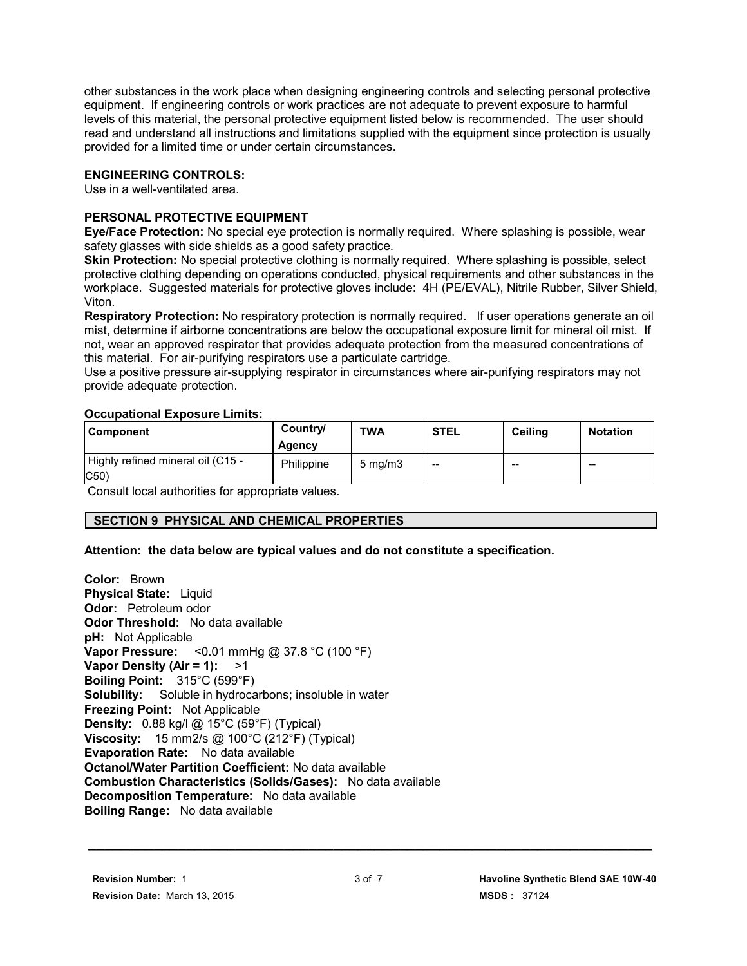other substances in the work place when designing engineering controls and selecting personal protective equipment. If engineering controls or work practices are not adequate to prevent exposure to harmful levels of this material, the personal protective equipment listed below is recommended. The user should read and understand all instructions and limitations supplied with the equipment since protection is usually provided for a limited time or under certain circumstances.

#### **ENGINEERING CONTROLS:**

Use in a well-ventilated area.

# **PERSONAL PROTECTIVE EQUIPMENT**

**Eye/Face Protection:** No special eye protection is normally required. Where splashing is possible, wear safety glasses with side shields as a good safety practice.

**Skin Protection:** No special protective clothing is normally required. Where splashing is possible, select protective clothing depending on operations conducted, physical requirements and other substances in the workplace. Suggested materials for protective gloves include: 4H (PE/EVAL), Nitrile Rubber, Silver Shield, Viton.

**Respiratory Protection:** No respiratory protection is normally required. If user operations generate an oil mist, determine if airborne concentrations are below the occupational exposure limit for mineral oil mist. If not, wear an approved respirator that provides adequate protection from the measured concentrations of this material. For air-purifying respirators use a particulate cartridge.

Use a positive pressure air-supplying respirator in circumstances where air-purifying respirators may not provide adequate protection.

#### **Occupational Exposure Limits:**

| <b>Component</b>                         | Country/<br>Agency | <b>TWA</b>       | <b>STEL</b> | <b>Ceiling</b> | <b>Notation</b> |
|------------------------------------------|--------------------|------------------|-------------|----------------|-----------------|
| Highly refined mineral oil (C15 -<br>C50 | Philippine         | $5 \text{ mg/m}$ | --          | $-$            | $- -$           |

Consult local authorities for appropriate values.

# **SECTION 9 PHYSICAL AND CHEMICAL PROPERTIES**

# **Attention: the data below are typical values and do not constitute a specification.**

**Color:** Brown **Physical State:** Liquid **Odor:** Petroleum odor **Odor Threshold:** No data available **pH:** Not Applicable **Vapor Pressure:** <0.01 mmHg @ 37.8 °C (100 °F) **Vapor Density (Air = 1):** >1 **Boiling Point:** 315°C (599°F) **Solubility:** Soluble in hydrocarbons; insoluble in water **Freezing Point:** Not Applicable **Density:** 0.88 kg/l @ 15°C (59°F) (Typical) **Viscosity:** 15 mm2/s @ 100°C (212°F) (Typical) **Evaporation Rate:** No data available **Octanol/Water Partition Coefficient:** No data available **Combustion Characteristics (Solids/Gases):** No data available **Decomposition Temperature:** No data available **Boiling Range:** No data available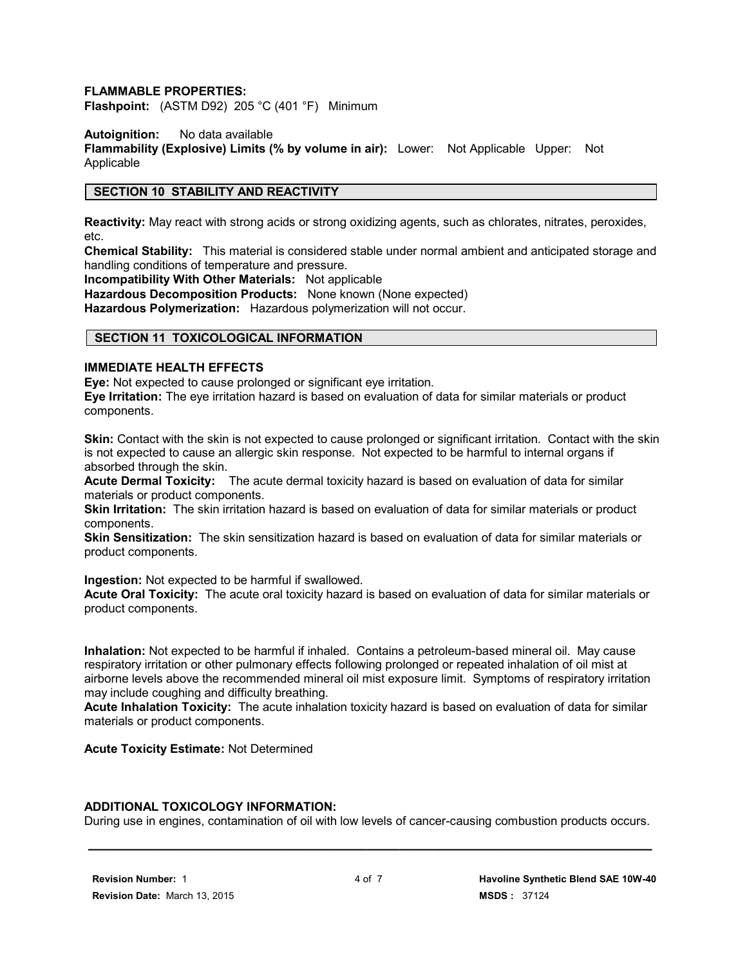#### **FLAMMABLE PROPERTIES:**

**Flashpoint:** (ASTM D92) 205 °C (401 °F) Minimum

**Autoignition:** No data available

**Flammability (Explosive) Limits (% by volume in air):** Lower: Not Applicable Upper: Not **Applicable** 

#### **SECTION 10 STABILITY AND REACTIVITY**

**Reactivity:** May react with strong acids or strong oxidizing agents, such as chlorates, nitrates, peroxides, etc.

**Chemical Stability:** This material is considered stable under normal ambient and anticipated storage and handling conditions of temperature and pressure.

**Incompatibility With Other Materials:** Not applicable

**Hazardous Decomposition Products:** None known (None expected)

**Hazardous Polymerization:** Hazardous polymerization will not occur.

#### **SECTION 11 TOXICOLOGICAL INFORMATION**

#### **IMMEDIATE HEALTH EFFECTS**

**Eye:** Not expected to cause prolonged or significant eye irritation.

**Eye Irritation:** The eye irritation hazard is based on evaluation of data for similar materials or product components.

**Skin:** Contact with the skin is not expected to cause prolonged or significant irritation. Contact with the skin is not expected to cause an allergic skin response. Not expected to be harmful to internal organs if absorbed through the skin.

**Acute Dermal Toxicity:** The acute dermal toxicity hazard is based on evaluation of data for similar materials or product components.

**Skin Irritation:** The skin irritation hazard is based on evaluation of data for similar materials or product components.

**Skin Sensitization:** The skin sensitization hazard is based on evaluation of data for similar materials or product components.

**Ingestion:** Not expected to be harmful if swallowed.

**Acute Oral Toxicity:** The acute oral toxicity hazard is based on evaluation of data for similar materials or product components.

**Inhalation:** Not expected to be harmful if inhaled. Contains a petroleum-based mineral oil. May cause respiratory irritation or other pulmonary effects following prolonged or repeated inhalation of oil mist at airborne levels above the recommended mineral oil mist exposure limit. Symptoms of respiratory irritation may include coughing and difficulty breathing.

**Acute Inhalation Toxicity:** The acute inhalation toxicity hazard is based on evaluation of data for similar materials or product components.

**Acute Toxicity Estimate:** Not Determined

#### **ADDITIONAL TOXICOLOGY INFORMATION:**

 **\_\_\_\_\_\_\_\_\_\_\_\_\_\_\_\_\_\_\_\_\_\_\_\_\_\_\_\_\_\_\_\_\_\_\_\_\_\_\_\_\_\_\_\_\_\_\_\_\_\_\_\_\_\_\_\_\_\_\_\_\_\_\_\_\_\_\_\_\_** During use in engines, contamination of oil with low levels of cancer-causing combustion products occurs.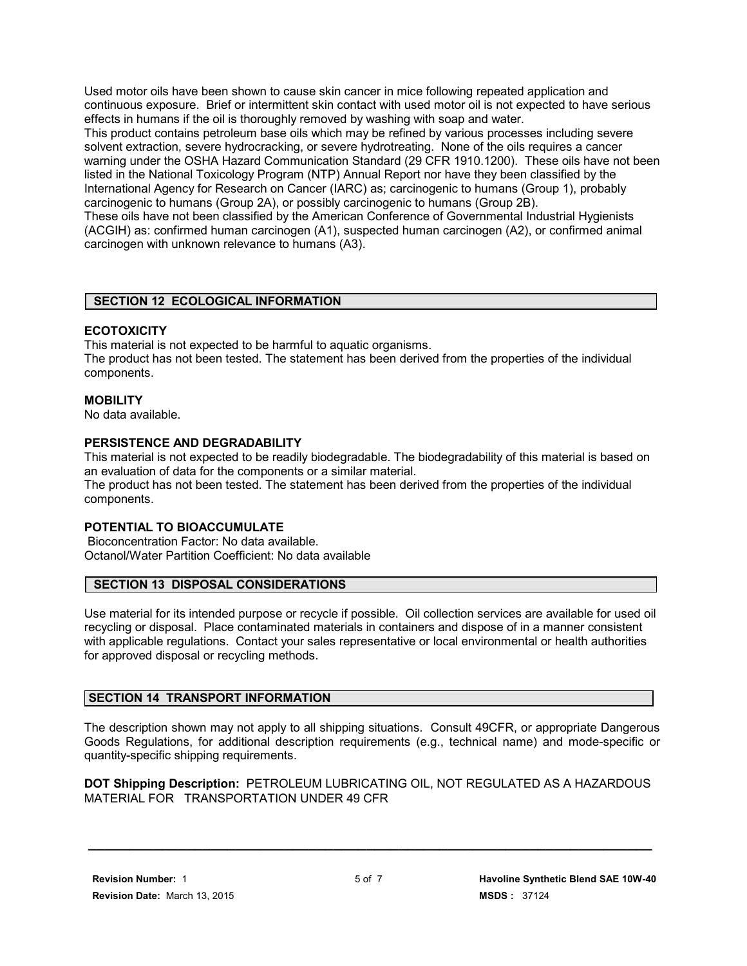Used motor oils have been shown to cause skin cancer in mice following repeated application and continuous exposure. Brief or intermittent skin contact with used motor oil is not expected to have serious effects in humans if the oil is thoroughly removed by washing with soap and water.

This product contains petroleum base oils which may be refined by various processes including severe solvent extraction, severe hydrocracking, or severe hydrotreating. None of the oils requires a cancer warning under the OSHA Hazard Communication Standard (29 CFR 1910.1200). These oils have not been listed in the National Toxicology Program (NTP) Annual Report nor have they been classified by the International Agency for Research on Cancer (IARC) as; carcinogenic to humans (Group 1), probably carcinogenic to humans (Group 2A), or possibly carcinogenic to humans (Group 2B).

These oils have not been classified by the American Conference of Governmental Industrial Hygienists (ACGIH) as: confirmed human carcinogen (A1), suspected human carcinogen (A2), or confirmed animal carcinogen with unknown relevance to humans (A3).

# **SECTION 12 ECOLOGICAL INFORMATION**

# **ECOTOXICITY**

This material is not expected to be harmful to aquatic organisms. The product has not been tested. The statement has been derived from the properties of the individual components.

#### **MOBILITY**

No data available.

#### **PERSISTENCE AND DEGRADABILITY**

This material is not expected to be readily biodegradable. The biodegradability of this material is based on an evaluation of data for the components or a similar material.

The product has not been tested. The statement has been derived from the properties of the individual components.

#### **POTENTIAL TO BIOACCUMULATE**

 Bioconcentration Factor: No data available. Octanol/Water Partition Coefficient: No data available

#### **SECTION 13 DISPOSAL CONSIDERATIONS**

Use material for its intended purpose or recycle if possible. Oil collection services are available for used oil recycling or disposal. Place contaminated materials in containers and dispose of in a manner consistent with applicable regulations. Contact your sales representative or local environmental or health authorities for approved disposal or recycling methods.

# **SECTION 14 TRANSPORT INFORMATION**

The description shown may not apply to all shipping situations. Consult 49CFR, or appropriate Dangerous Goods Regulations, for additional description requirements (e.g., technical name) and mode-specific or quantity-specific shipping requirements.

**DOT Shipping Description:** PETROLEUM LUBRICATING OIL, NOT REGULATED AS A HAZARDOUS MATERIAL FOR TRANSPORTATION UNDER 49 CFR